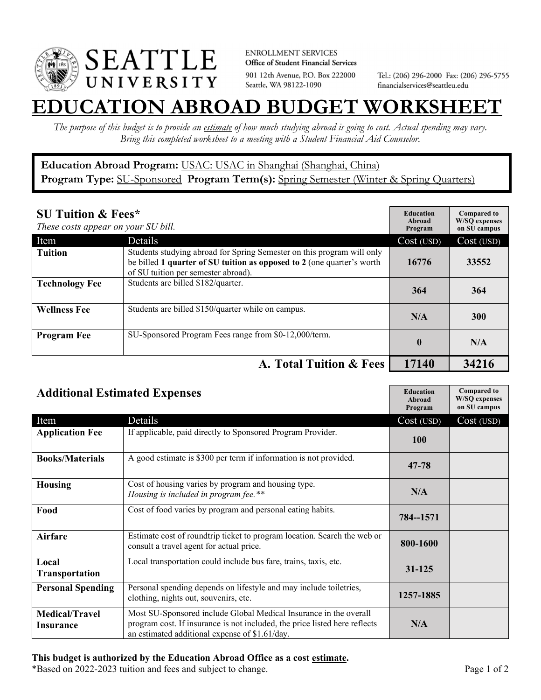

**ENROLLMENT SERVICES** Office of Student Financial Services 901 12th Avenue, P.O. Box 222000 Seattle, WA 98122-1090

Tel.: (206) 296-2000 Fax: (206) 296-5755 financialservices@seattleu.edu

## **EATION ABROAD BUDGET WORKSHEE**

*The purpose of this budget is to provide an estimate of how much studying abroad is going to cost. Actual spending may vary. Bring this completed worksheet to a meeting with a Student Financial Aid Counselor.* 

## **Education Abroad Program:** USAC: USAC in Shanghai (Shanghai, China) Program Type: **SU-Sponsored** Program Term(s): **Spring Semester** (Winter & Spring Quarters)

| <b>SU Tuition &amp; Fees*</b><br>These costs appear on your SU bill. |                                                                                                                                                                                         | <b>Education</b><br>Abroad<br>Program | <b>Compared to</b><br><b>W/SO</b> expenses<br>on SU campus |
|----------------------------------------------------------------------|-----------------------------------------------------------------------------------------------------------------------------------------------------------------------------------------|---------------------------------------|------------------------------------------------------------|
| Item                                                                 | Details                                                                                                                                                                                 | Cost (USD)                            | Cost (USD)                                                 |
| <b>Tuition</b>                                                       | Students studying abroad for Spring Semester on this program will only<br>be billed 1 quarter of SU tuition as opposed to 2 (one quarter's worth<br>of SU tuition per semester abroad). | 16776                                 | 33552                                                      |
| <b>Technology Fee</b>                                                | Students are billed \$182/quarter.                                                                                                                                                      | 364                                   | 364                                                        |
| <b>Wellness Fee</b>                                                  | Students are billed \$150/quarter while on campus.                                                                                                                                      | N/A                                   | <b>300</b>                                                 |
| <b>Program Fee</b>                                                   | SU-Sponsored Program Fees range from \$0-12,000/term.                                                                                                                                   | $\mathbf{0}$                          | N/A                                                        |
|                                                                      | A. Total Tuition & Fees                                                                                                                                                                 | 17140                                 | 34216                                                      |

| <b>Additional Estimated Expenses</b> |                                                                                                                                                                                                   | <b>Education</b><br>Abroad<br>Program | <b>Compared to</b><br><b>W/SQ</b> expenses<br>on SU campus |
|--------------------------------------|---------------------------------------------------------------------------------------------------------------------------------------------------------------------------------------------------|---------------------------------------|------------------------------------------------------------|
| Item                                 | Details                                                                                                                                                                                           | Cost (USD)                            | Cost (USD)                                                 |
| <b>Application Fee</b>               | If applicable, paid directly to Sponsored Program Provider.                                                                                                                                       | <b>100</b>                            |                                                            |
| <b>Books/Materials</b>               | A good estimate is \$300 per term if information is not provided.                                                                                                                                 | 47-78                                 |                                                            |
| <b>Housing</b>                       | Cost of housing varies by program and housing type.<br>Housing is included in program fee.**                                                                                                      | N/A                                   |                                                            |
| Food                                 | Cost of food varies by program and personal eating habits.                                                                                                                                        | 784--1571                             |                                                            |
| <b>Airfare</b>                       | Estimate cost of roundtrip ticket to program location. Search the web or<br>consult a travel agent for actual price.                                                                              | 800-1600                              |                                                            |
| Local<br><b>Transportation</b>       | Local transportation could include bus fare, trains, taxis, etc.                                                                                                                                  | $31 - 125$                            |                                                            |
| <b>Personal Spending</b>             | Personal spending depends on lifestyle and may include toiletries,<br>clothing, nights out, souvenirs, etc.                                                                                       | 1257-1885                             |                                                            |
| <b>Medical/Travel</b><br>Insurance   | Most SU-Sponsored include Global Medical Insurance in the overall<br>program cost. If insurance is not included, the price listed here reflects<br>an estimated additional expense of \$1.61/day. | N/A                                   |                                                            |

## **This budget is authorized by the Education Abroad Office as a cost estimate.**

\*Based on 2022-2023 tuition and fees and subject to change. Page 1 of 2